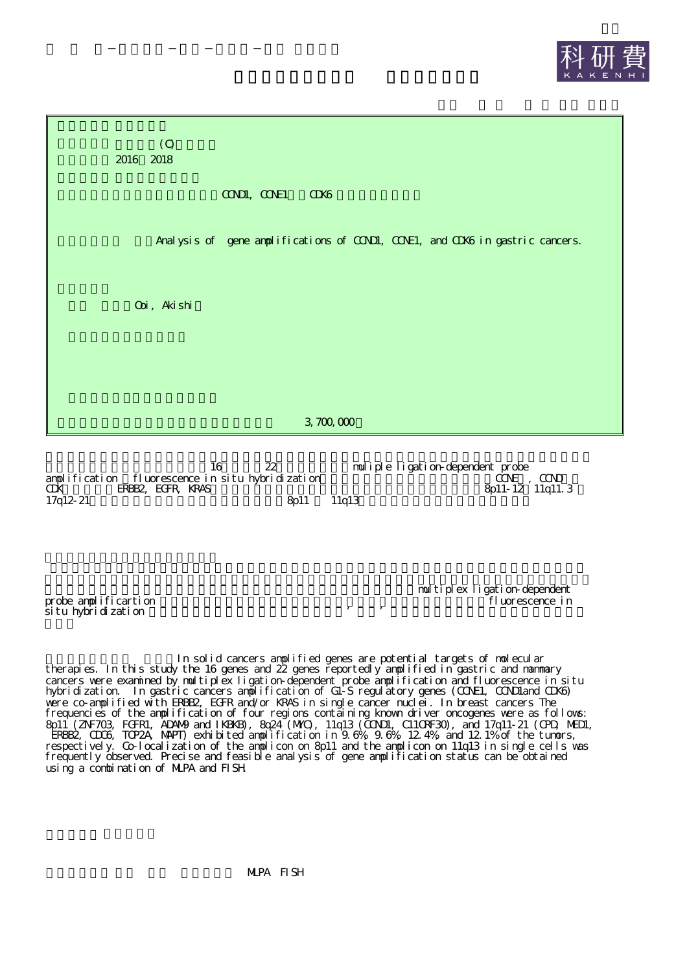



|                  |                                                  |                   |       | muliple ligation-dependent probe |
|------------------|--------------------------------------------------|-------------------|-------|----------------------------------|
|                  | amplification fluorescence in situ hybridization |                   |       | $CCE$ . $CCD$                    |
| Œ                | ERBB2 EGFR KRAS                                  |                   |       | $8p11-12$ 1 lg11.3               |
| $17q12 \cdot 21$ |                                                  | 8 <sub>b</sub> 11 | 11a13 |                                  |

 $\overline{\text{si}}$ tu hyb $\overline{\text{ri}}$ dization

multiplex ligation-dependent probe amplificartion fluorescence in the state of the state of the state of the state in the state of the state of the state of the state of the state of the state of the state of the state of the state of the state of the

In solid cancers amplified genes are potential targets of molecular therapies. In this study the 16 genes and 22 genes reportedly amplified in gastric and mammary cancers were examined by multiplex ligation-dependent probe amplification and fluorescence in situ hybridization. In gastric cancers amplification of G1-S regulatory genes (CCNE1, CCND1and CDK6) were co-amplified with ERBB2, EGFR and/or KRAS in single cancer nuclei. In breast cancers The frequencies of the amplification of four regions containing known driver oncogenes were as follows: 8p11 (ZNF703, FGFR1, ADAM9 and IKBKB), 8q24 (MYC), 11q13 (CCND1, C11ORF30), and 17q11-21 (CPD, MED1, ERBB2, CDC6, TOP2A, MAPT) exhibited amplification in 9.6%, 9.6%, 12.4%, and 12.1% of the tumors, respectively. Co-localization of the amplicon on 8p11 and the amplicon on 11q13 in single cells was frequently observed. Precise and feasible analysis of gene amplification status can be obtained using a combination of MLPA and FISH.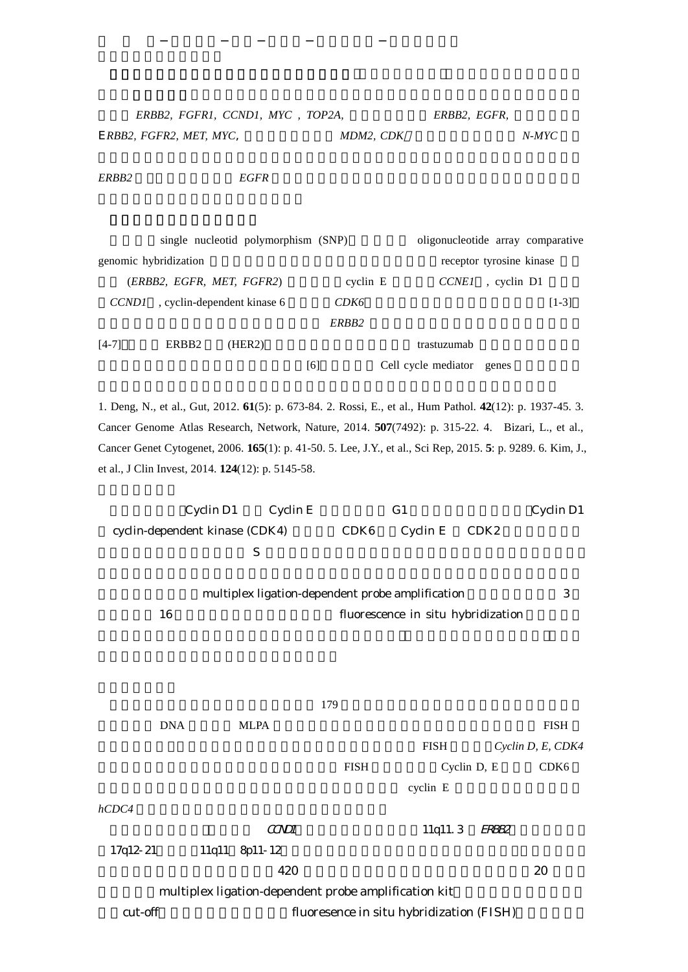| ERBB2, FGFR1, CCND1, MYC, TOP2A, |           | ERBB2, EGFR, |       |
|----------------------------------|-----------|--------------|-------|
| ERBB2, FGFR2, MET, MYC,          | MDM2. CDK |              | N-MYC |

*ERBB2 EGFR*

|                           |                   | single nucleotid polymorphism (SNP) |     |                   | oligonucleotide array comparative |                          |         |  |  |
|---------------------------|-------------------|-------------------------------------|-----|-------------------|-----------------------------------|--------------------------|---------|--|--|
| genomic hybridization     |                   |                                     |     |                   |                                   | receptor tyrosine kinase |         |  |  |
| (ERBB2, EGFR, MET, FGFR2) |                   |                                     |     | $c$ yclin $E$     | <i>CCNE1</i>                      | , cyclin D1              |         |  |  |
| <i>CCND1</i>              |                   | , cyclin-dependent kinase 6         |     | CDK <sub>6</sub>  |                                   |                          | $[1-3]$ |  |  |
|                           |                   |                                     |     | ERBB <sub>2</sub> |                                   |                          |         |  |  |
| $[4-7]$                   | ERBB <sub>2</sub> | (HER2)                              |     |                   | trastuzumab                       |                          |         |  |  |
|                           |                   |                                     | [6] |                   | Cell cycle mediator genes         |                          |         |  |  |

1. Deng, N., et al., Gut, 2012. **61**(5): p. 673-84. 2. Rossi, E., et al., Hum Pathol. **42**(12): p. 1937-45. 3. Cancer Genome Atlas Research, Network, Nature, 2014. **507**(7492): p. 315-22. 4. Bizari, L., et al., Cancer Genet Cytogenet, 2006. **165**(1): p. 41-50. 5. Lee, J.Y., et al., Sci Rep, 2015. **5**: p. 9289. 6. Kim, J., et al., J Clin Invest, 2014. **124**(12): p. 5145-58.

Cyclin D1 Cyclin E G1 Cyclin D1 cyclin-dependent kinase (CDK4) CDK6 Cyclin E CDK2 S multiplex ligation-dependent probe amplification 3 16 fluorescence in situ hybridization 179 DNA MLPA FISH FISH *Cyclin D, E, CDK4* FISH Cyclin D, E CDK6 cyclin E *hCDC4*  $CCDI$  11q11.3 ERBB2 17q12-21 11q11 8p11-12 420 20 multiplex ligation-dependent probe amplification kit cut-off fluoresence in situ hybridization (FISH)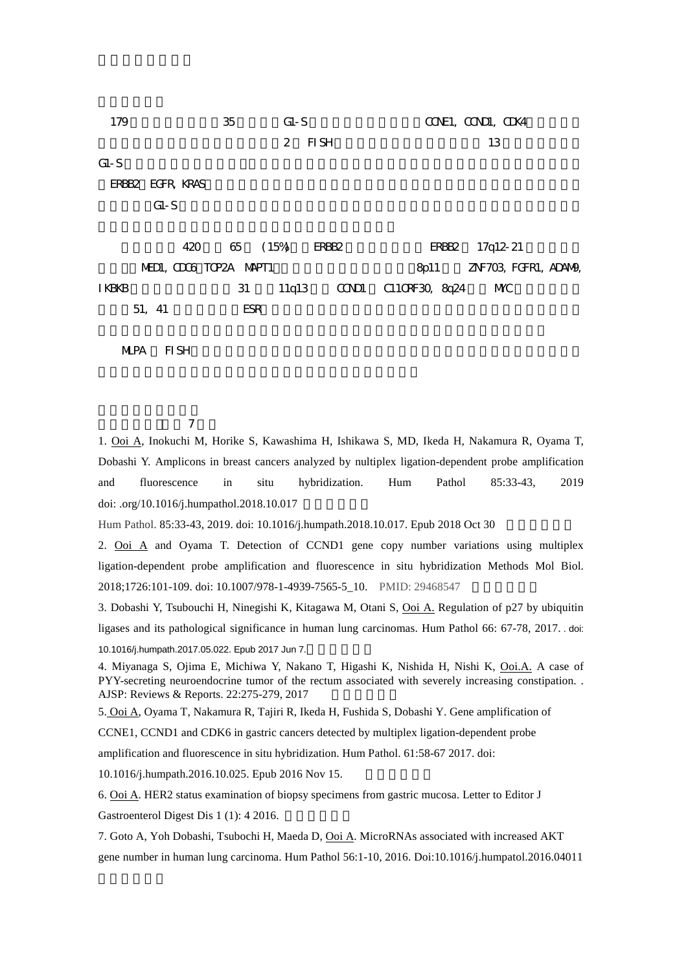179 35 G1-S CONE1, COND1, CDK4 2 FISH 13 G1-S ERBB2 EGFR, KRAS G1-S 420 65 (15%) ERBB2 ERBB2 17q12-21 MEDI, CDC6 TOP2A MAPT1 8p11 8p11 ZNF703, FGFR1, ADAM9, IKBKB 31 11q13 CCND1 C11ORF30, 8q24 MYC 51, 41 ESR

MLPA FISH

7

1. Ooi A, Inokuchi M, Horike S, Kawashima H, Ishikawa S, MD, Ikeda H, Nakamura R, Oyama T, Dobashi Y. Amplicons in breast cancers analyzed by nultiplex ligation-dependent probe amplification and fluorescence in situ hybridization. Hum Pathol 85:33-43, 2019 doi: .org/10.1016/j.humpathol.2018.10.017

Hum Pathol. 85:33-43, 2019. doi: 10.1016/j.humpath.2018.10.017. Epub 2018 Oct 30

2. Ooi A and Oyama T. Detection of CCND1 gene copy number variations using multiplex ligation-dependent probe amplification and fluorescence in situ hybridization Methods Mol Biol. 2018;1726:101-109. doi: 10.1007/978-1-4939-7565-5\_10. PMID: 29468547

3. Dobashi Y, Tsubouchi H, Ninegishi K, Kitagawa M, Otani S, Ooi A. Regulation of p27 by ubiquitin ligases and its pathological significance in human lung carcinomas. Hum Pathol 66: 67-78, 2017. . doi: 10.1016/j.humpath.2017.05.022. Epub 2017 Jun 7.

4. Miyanaga S, Ojima E, Michiwa Y, Nakano T, Higashi K, Nishida H, Nishi K, Ooi.A. A case of PYY-secreting neuroendocrine tumor of the rectum associated with severely increasing constipation. . AJSP: Reviews & Reports. 22:275-279, 2017

5. Ooi A, Oyama T, Nakamura R, Tajiri R, Ikeda H, Fushida S, Dobashi Y. Gene amplification of

CCNE1, CCND1 and CDK6 in gastric cancers detected by multiplex ligation-dependent probe

amplification and fluorescence in situ hybridization. Hum Pathol. 61:58-67 2017. doi:

10.1016/j.humpath.2016.10.025. Epub 2016 Nov 15.

6. Ooi A. HER2 status examination of biopsy specimens from gastric mucosa. Letter to Editor J Gastroenterol Digest Dis 1 (1): 4 2016.

7. Goto A, Yoh Dobashi, Tsubochi H, Maeda D, Ooi A. MicroRNAs associated with increased AKT gene number in human lung carcinoma. Hum Pathol 56:1-10, 2016. Doi:10.1016/j.humpatol.2016.04011